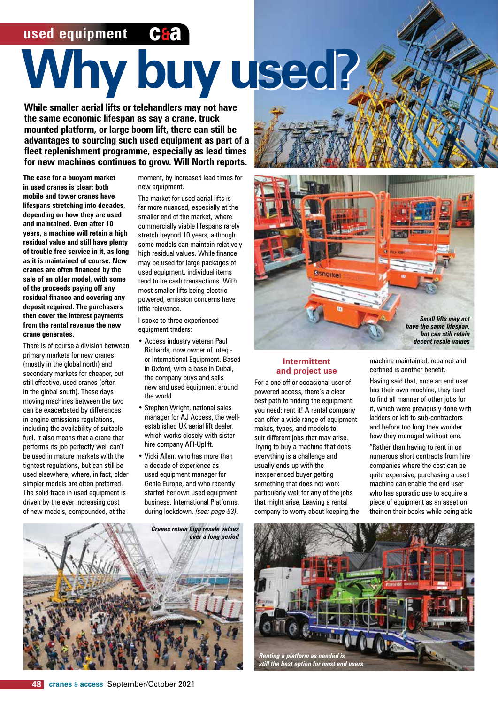# **used equipment**

# **Why buy used? Why buy used?**

**While smaller aerial lifts or telehandlers may not have the same economic lifespan as say a crane, truck mounted platform, or large boom lift, there can still be advantages to sourcing such used equipment as part of a fleet replenishment programme, especially as lead times for new machines continues to grow. Will North reports.**

**The case for a buoyant market in used cranes is clear: both mobile and tower cranes have lifespans stretching into decades, depending on how they are used and maintained. Even after 10 years, a machine will retain a high residual value and still have plenty of trouble free service in it, as long as it is maintained of course. New cranes are often financed by the sale of an older model, with some of the proceeds paying off any residual finance and covering any deposit required. The purchasers then cover the interest payments from the rental revenue the new crane generates.** 

There is of course a division between primary markets for new cranes (mostly in the global north) and secondary markets for cheaper, but still effective, used cranes (often in the global south). These days moving machines between the two can be exacerbated by differences in engine emissions regulations, including the availability of suitable fuel. It also means that a crane that performs its job perfectly well can't be used in mature markets with the tightest regulations, but can still be used elsewhere, where, in fact, older simpler models are often preferred. The solid trade in used equipment is driven by the ever increasing cost of new models, compounded, at the

moment, by increased lead times for new equipment.

The market for used aerial lifts is far more nuanced, especially at the smaller end of the market, where commercially viable lifespans rarely stretch beyond 10 years, although some models can maintain relatively high residual values. While finance may be used for large packages of used equipment, individual items tend to be cash transactions. With most smaller lifts being electric powered, emission concerns have little relevance.

I spoke to three experienced equipment traders:

- Access industry veteran Paul Richards, now owner of Inteq or International Equipment. Based in Oxford, with a base in Dubai, the company buys and sells new and used equipment around the world.
- Stephen Wright, national sales manager for AJ Access, the wellestablished UK aerial lift dealer, which works closely with sister hire company AFI-Uplift.
- Vicki Allen, who has more than a decade of experience as used equipment manager for Genie Europe, and who recently started her own used equipment business, International Platforms, during lockdown. *(see: page 53).*





#### **Intermittent and project use**

For a one off or occasional user of powered access, there's a clear best path to finding the equipment you need: rent it! A rental company can offer a wide range of equipment makes, types, and models to suit different jobs that may arise. Trying to buy a machine that does everything is a challenge and usually ends up with the inexperienced buyer getting something that does not work particularly well for any of the jobs that might arise. Leaving a rental company to worry about keeping the machine maintained, repaired and certified is another benefit.

Having said that, once an end user has their own machine, they tend to find all manner of other jobs for it, which were previously done with ladders or left to sub-contractors and before too long they wonder how they managed without one. "Rather than having to rent in on numerous short contracts from hire companies where the cost can be quite expensive, purchasing a used machine can enable the end user who has sporadic use to acquire a piece of equipment as an asset on their on their books while being able

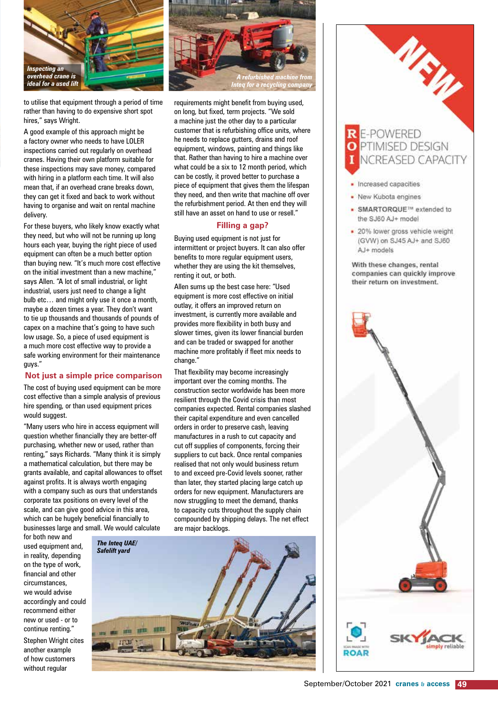

to utilise that equipment through a period of time rather than having to do expensive short spot hires," says Wright.

A good example of this approach might be a factory owner who needs to have LOLER inspections carried out regularly on overhead cranes. Having their own platform suitable for these inspections may save money, compared with hiring in a platform each time. It will also mean that, if an overhead crane breaks down, they can get it fixed and back to work without having to organise and wait on rental machine delivery.

For these buyers, who likely know exactly what they need, but who will not be running up long hours each year, buying the right piece of used equipment can often be a much better option than buying new. "It's much more cost effective on the initial investment than a new machine," says Allen. "A lot of small industrial, or light industrial, users just need to change a light bulb etc… and might only use it once a month, maybe a dozen times a year. They don't want to tie up thousands and thousands of pounds of capex on a machine that's going to have such low usage. So, a piece of used equipment is a much more cost effective way to provide a safe working environment for their maintenance guys."

#### **Not just a simple price comparison**

The cost of buving used equipment can be more cost effective than a simple analysis of previous hire spending, or than used equipment prices would suggest.

"Many users who hire in access equipment will question whether financially they are better-off purchasing, whether new or used, rather than renting," says Richards. "Many think it is simply a mathematical calculation, but there may be grants available, and capital allowances to offset against profits. It is always worth engaging with a company such as ours that understands corporate tax positions on every level of the scale, and can give good advice in this area, which can be hugely beneficial financially to businesses large and small. We would calculate

for both new and used equipment and, in reality, depending on the type of work, financial and other circumstances, we would advise accordingly and could recommend either new or used - or to continue renting." Stephen Wright cites another example of how customers without regular



slower times, given its lower financial burden and can be traded or swapped for another machine more profitably if fleet mix needs to change."

That flexibility may become increasingly important over the coming months. The construction sector worldwide has been more resilient through the Covid crisis than most companies expected. Rental companies slashed their capital expenditure and even cancelled orders in order to preserve cash, leaving manufactures in a rush to cut capacity and cut off supplies of components, forcing their suppliers to cut back. Once rental companies realised that not only would business return to and exceed pre-Covid levels sooner, rather than later, they started placing large catch up orders for new equipment. Manufacturers are now struggling to meet the demand, thanks to capacity cuts throughout the supply chain compounded by shipping delays. The net effect are major backlogs.



R E-POWERED<br>O PTIMISED DESIGN NCREASED CAPACITY

MEW

- Increased capacities
- New Kubota engines
- SMARTORQUE™ extended to the SJ60 AJ+ model
- · 20% lower gross vehicle weight (GVW) on SJ45 AJ+ and SJ60 AJ+ models

With these changes, rental companies can quickly improve their return on investment.

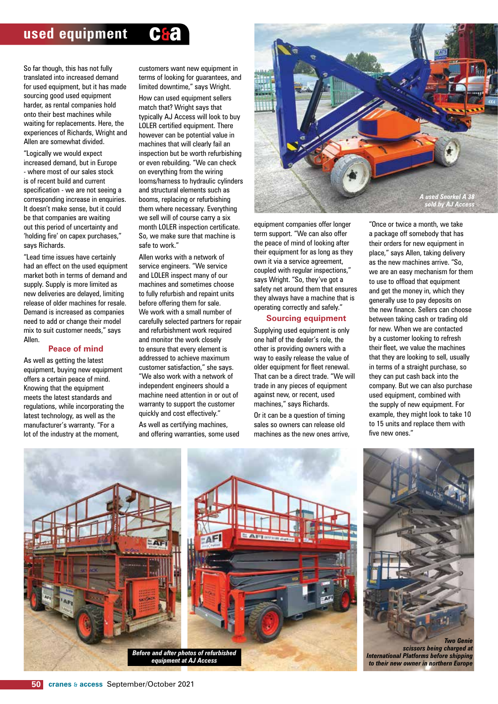## **used equipment C&**



So far though, this has not fully translated into increased demand for used equipment, but it has made sourcing good used equipment harder, as rental companies hold onto their best machines while waiting for replacements. Here, the experiences of Richards, Wright and Allen are somewhat divided.

"Logically we would expect increased demand, but in Europe - where most of our sales stock is of recent build and current specification - we are not seeing a corresponding increase in enquiries. It doesn't make sense, but it could be that companies are waiting out this period of uncertainty and 'holding fire' on capex purchases," says Richards.

"Lead time issues have certainly had an effect on the used equipment market both in terms of demand and supply. Supply is more limited as new deliveries are delayed, limiting release of older machines for resale. Demand is increased as companies need to add or change their model mix to suit customer needs," says Allen.

#### **Peace of mind**

As well as getting the latest equipment, buying new equipment offers a certain peace of mind. Knowing that the equipment meets the latest standards and regulations, while incorporating the latest technology, as well as the manufacturer's warranty. "For a lot of the industry at the moment,

customers want new equipment in terms of looking for guarantees, and limited downtime," says Wright.

How can used equipment sellers match that? Wright says that typically AJ Access will look to buy LOLER certified equipment. There however can be potential value in machines that will clearly fail an inspection but be worth refurbishing or even rebuilding. "We can check on everything from the wiring looms/harness to hydraulic cylinders and structural elements such as booms, replacing or refurbishing them where necessary. Everything we sell will of course carry a six month LOLER inspection certificate. So, we make sure that machine is safe to work."

Allen works with a network of service engineers. "We service and LOLER inspect many of our machines and sometimes choose to fully refurbish and repaint units before offering them for sale. We work with a small number of carefully selected partners for repair and refurbishment work required and monitor the work closely to ensure that every element is addressed to achieve maximum customer satisfaction," she says. "We also work with a network of independent engineers should a machine need attention in or out of warranty to support the customer quickly and cost effectively."

As well as certifying machines, and offering warranties, some used



equipment companies offer longer term support. "We can also offer the peace of mind of looking after their equipment for as long as they own it via a service agreement, coupled with regular inspections," says Wright. "So, they've got a safety net around them that ensures they always have a machine that is operating correctly and safely."

#### **Sourcing equipment**

Supplying used equipment is only one half of the dealer's role, the other is providing owners with a way to easily release the value of older equipment for fleet renewal. That can be a direct trade. "We will trade in any pieces of equipment against new, or recent, used machines," says Richards.

Or it can be a question of timing sales so owners can release old machines as the new ones arrive,

"Once or twice a month, we take a package off somebody that has their orders for new equipment in place," says Allen, taking delivery as the new machines arrive. "So, we are an easy mechanism for them to use to offload that equipment and get the money in, which they generally use to pay deposits on the new finance. Sellers can choose between taking cash or trading old for new. When we are contacted by a customer looking to refresh their fleet, we value the machines that they are looking to sell, usually in terms of a straight purchase, so they can put cash back into the company. But we can also purchase used equipment, combined with the supply of new equipment. For example, they might look to take 10 to 15 units and replace them with five new ones."

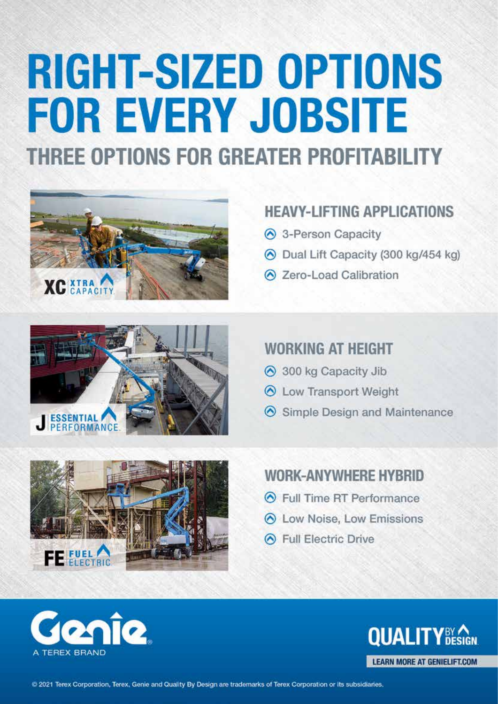# **RIGHT-SIZED OPTIONS FOR EVERY JOBSITE** THREE OPTIONS FOR GREATER PROFITABILITY





- s-Person Capacity
- O Dual Lift Capacity (300 kg/454 kg)
- 2 Zero-Load Calibration



# **WORKING AT HEIGHT**

- ⊙ 300 kg Capacity Jib
- **6** Low Transport Weight
- Simple Design and Maintenance



# **WORK-ANYWHERE HYBRID**

- **6** Full Time RT Performance
- **6** Low Noise, Low Emissions
- ← Full Electric Drive



**QUALIT LEARN MORE AT GENIELIFT.COM** 

@ 2021 Terex Corporation, Terex, Genie and Quality By Design are trademarks of Terex Corporation or its subsidiaries.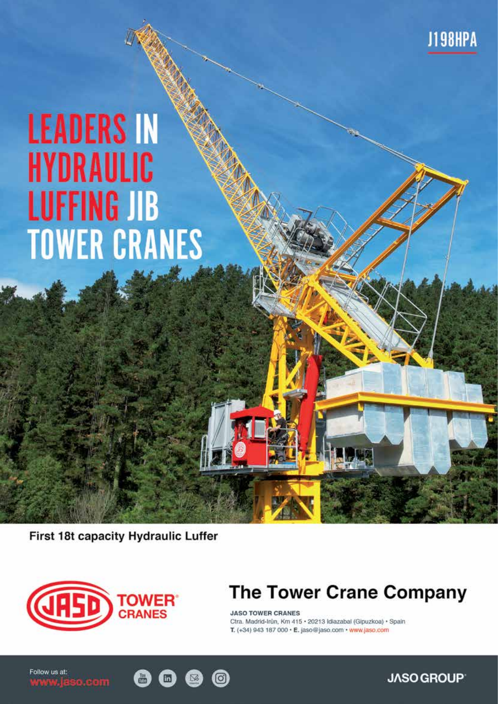# **LEADERS IN HYDRAULIC LUFFING JIB TOWER CRANES**

First 18t capacity Hydraulic Luffer



# The Tower Crane Company

**JASO TOWER CRANES** Ctra. Madrid-Irůn, Km 415 · 20213 Idiazabal (Gipuzkoa) · Spain T. (+34) 943 187 000 · E. jaso@jaso.com · www.jaso.com

 $\overline{O}$ 

Follow us at: www.jaso.com

**JASO GROUP** 

**J198HPA**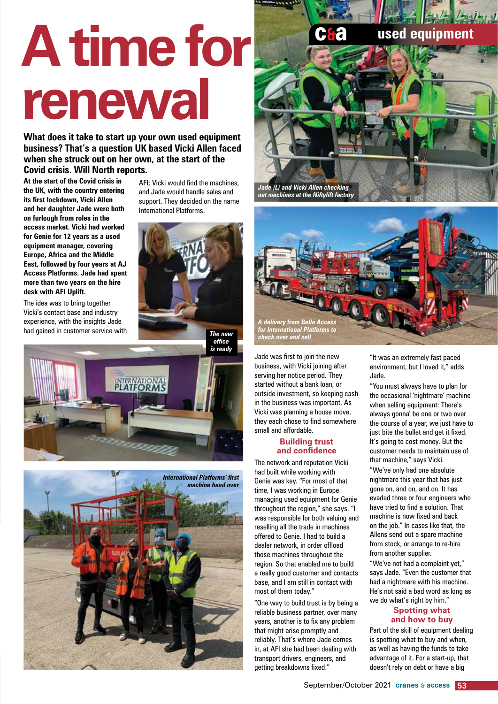# **A time for renewal**

**What does it take to start up your own used equipment business? That's a question UK based Vicki Allen faced when she struck out on her own, at the start of the Covid crisis. Will North reports.**

**At the start of the Covid crisis in the UK, with the country entering its first lockdown, Vicki Allen and her daughter Jade were both on furlough from roles in the access market. Vicki had worked for Genie for 12 years as a used equipment manager, covering Europe, Africa and the Middle East, followed by four years at AJ Access Platforms. Jade had spent more than two years on the hire desk with AFI Uplift.**

The idea was to bring together Vicki's contact base and industry experience, with the insights Jade had gained in customer service with

AFI: Vicki would find the machines, and Jade would handle sales and support. They decided on the name International Platforms.



*is ready*







Jade was first to join the new business, with Vicki joining after serving her notice period. They started without a bank loan, or outside investment, so keeping cash in the business was important. As Vicki was planning a house move, they each chose to find somewhere small and affordable.

#### **Building trust and confidence**

The network and reputation Vicki had built while working with Genie was key. "For most of that time, I was working in Europe managing used equipment for Genie throughout the region," she says. "I was responsible for both valuing and reselling all the trade in machines offered to Genie. I had to build a dealer network, in order offload those machines throughout the region. So that enabled me to build a really good customer and contacts base, and I am still in contact with most of them today."

"One way to build trust is by being a reliable business partner, over many years, another is to fix any problem that might arise promptly and reliably. That's where Jade comes in, at AFI she had been dealing with transport drivers, engineers, and getting breakdowns fixed."

"It was an extremely fast paced environment, but I loved it," adds Jade.

"You must always have to plan for the occasional 'nightmare' machine when selling equipment: There's always gonna' be one or two over the course of a year, we just have to just bite the bullet and get it fixed. It's going to cost money. But the customer needs to maintain use of that machine," says Vicki.

"We've only had one absolute nightmare this year that has just gone on, and on, and on. It has evaded three or four engineers who have tried to find a solution. That machine is now fixed and back on the job." In cases like that, the Allens send out a spare machine from stock, or arrange to re-hire from another supplier.

"We've not had a complaint yet," says Jade. "Even the customer that had a nightmare with his machine. He's not said a bad word as long as we do what's right by him."

#### **Spotting what and how to buy**

Part of the skill of equipment dealing is spotting what to buy and when, as well as having the funds to take advantage of it. For a start-up, that doesn't rely on debt or have a big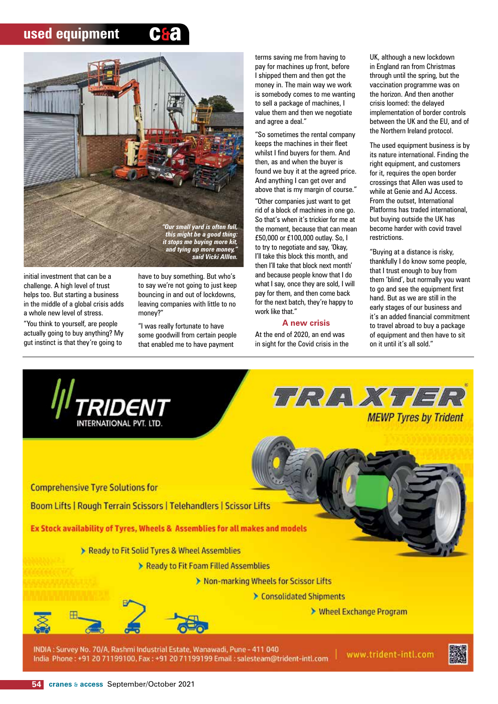### **used equipment**





initial investment that can be a challenge. A high level of trust helps too. But starting a business in the middle of a global crisis adds a whole new level of stress.

"You think to yourself, are people actually going to buy anything? My gut instinct is that they're going to

have to buy something. But who's to say we're not going to just keep bouncing in and out of lockdowns, leaving companies with little to no money?"

"I was really fortunate to have some goodwill from certain people that enabled me to have payment

terms saving me from having to pay for machines up front, before I shipped them and then got the money in. The main way we work is somebody comes to me wanting to sell a package of machines, I value them and then we negotiate and agree a deal."

"So sometimes the rental company keeps the machines in their fleet whilst I find buyers for them. And then, as and when the buyer is found we buy it at the agreed price. And anything I can get over and above that is my margin of course." "Other companies just want to get rid of a block of machines in one go. So that's when it's trickier for me at the moment, because that can mean £50,000 or £100,000 outlay. So, I to try to negotiate and say, 'Okay, I'll take this block this month, and then I'll take that block next month' and because people know that I do what I say, once they are sold, I will pay for them, and then come back for the next batch, they're happy to work like that."

#### **A new crisis**

At the end of 2020, an end was in sight for the Covid crisis in the UK, although a new lockdown in England ran from Christmas through until the spring, but the vaccination programme was on the horizon. And then another crisis loomed: the delayed implementation of border controls between the UK and the EU, and of the Northern Ireland protocol.

The used equipment business is by its nature international. Finding the right equipment, and customers for it, requires the open border crossings that Allen was used to while at Genie and AJ Access. From the outset, International Platforms has traded international, but buying outside the UK has become harder with covid travel restrictions.

"Buying at a distance is risky, thankfully I do know some people, that I trust enough to buy from them 'blind', but normally you want to go and see the equipment first hand. But as we are still in the early stages of our business and it's an added financial commitment to travel abroad to buy a package of equipment and then have to sit on it until it's all sold."